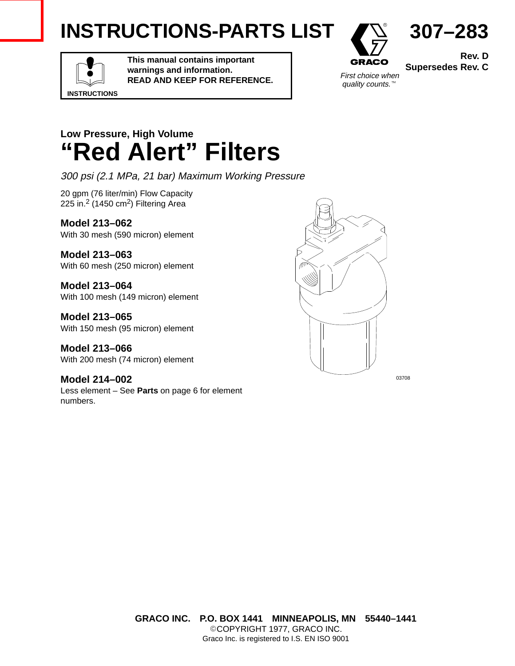# **INSTRUCTIONS-PARTS LIST**



**Rev. D Supersedes Rev. C**

**307–283**

**INSTRUCTIONS**

**This manual contains important warnings and information. READ AND KEEP FOR REFERENCE.**



## **Low Pressure, High Volume "Red Alert" Filters**

300 psi (2.1 MPa, 21 bar) Maximum Working Pressure

20 gpm (76 liter/min) Flow Capacity 225 in.2 (1450 cm2) Filtering Area

**Model 213–062** With 30 mesh (590 micron) element

**Model 213–063** With 60 mesh (250 micron) element

**Model 213–064** With 100 mesh (149 micron) element

**Model 213–065** With 150 mesh (95 micron) element

**Model 213–066** With 200 mesh (74 micron) element

**Model 214–002** Less element – See **Parts** on page 6 for element numbers.



**GRACO INC. P.O. BOX 1441 MINNEAPOLIS, MN 55440–1441** ©COPYRIGHT 1977, GRACO INC. Graco Inc. is registered to I.S. EN ISO 9001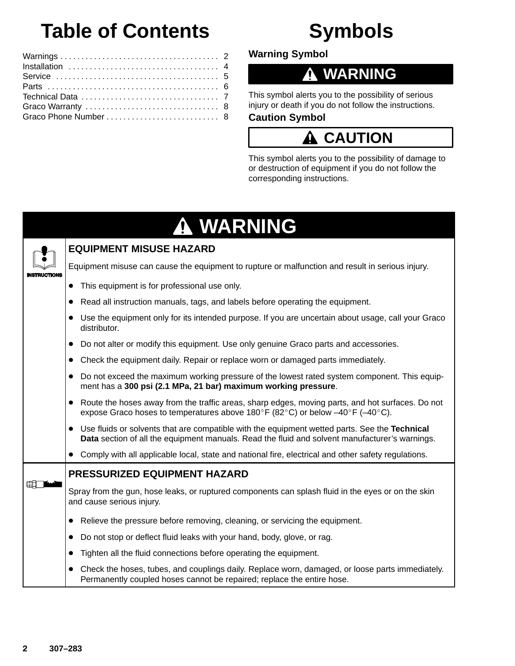# **Table of Contents**

#### Warnings 2 . . . . . . . . . . . . . . . . . . . . . . . . . . . . . . . . . . . . . . Installation 4 . . . . . . . . . . . . . . . . . . . . . . . . . . . . . . . . . . . . Service 5 . . . . . . . . . . . . . . . . . . . . . . . . . . . . . . . . . . . . . . . Parts 6 . . . . . . . . . . . . . . . . . . . . . . . . . . . . . . . . . . . . . . . . . Technical Data . . . . . . . . . . . . . . . . . . . . . . . . . . . . . . . . . 7 Graco Warranty 8 . . . . . . . . . . . . . . . . . . . . . . . . . . . . . . . . Graco Phone Number . . . . . . . . . . . . . . . . . . . . . . . . . . . 8

**Warning Symbol**

## **WARNING**

**Symbols**

This symbol alerts you to the possibility of serious injury or death if you do not follow the instructions.

### **Caution Symbol**

### **CAUTION**

This symbol alerts you to the possibility of damage to or destruction of equipment if you do not follow the corresponding instructions.

# **WARNING**



### **EQUIPMENT MISUSE HAZARD**

Equipment misuse can cause the equipment to rupture or malfunction and result in serious injury.

- This equipment is for professional use only.
- $\bullet$ Read all instruction manuals, tags, and labels before operating the equipment.
- $\bullet$  Use the equipment only for its intended purpose. If you are uncertain about usage, call your Graco distributor.
- Do not alter or modify this equipment. Use only genuine Graco parts and accessories.
- Check the equipment daily. Repair or replace worn or damaged parts immediately.
- Do not exceed the maximum working pressure of the lowest rated system component. This equipment has a **300 psi (2.1 MPa, 21 bar) maximum working pressure**.
- Route the hoses away from the traffic areas, sharp edges, moving parts, and hot surfaces. Do not expose Graco hoses to temperatures above 180°F (82°C) or below  $-40^{\circ}$ F (-40°C).
- Use fluids or solvents that are compatible with the equipment wetted parts. See the **Technical Data** section of all the equipment manuals. Read the fluid and solvent manufacturer's warnings.
- Comply with all applicable local, state and national fire, electrical and other safety regulations.

### **PRESSURIZED EQUIPMENT HAZARD**

Spray from the gun, hose leaks, or ruptured components can splash fluid in the eyes or on the skin and cause serious injury.

- Relieve the pressure before removing, cleaning, or servicing the equipment.
- Do not stop or deflect fluid leaks with your hand, body, glove, or rag.
- **Tighten all the fluid connections before operating the equipment.**
- Check the hoses, tubes, and couplings daily. Replace worn, damaged, or loose parts immediately. Permanently coupled hoses cannot be repaired; replace the entire hose.

**ER THE STATE**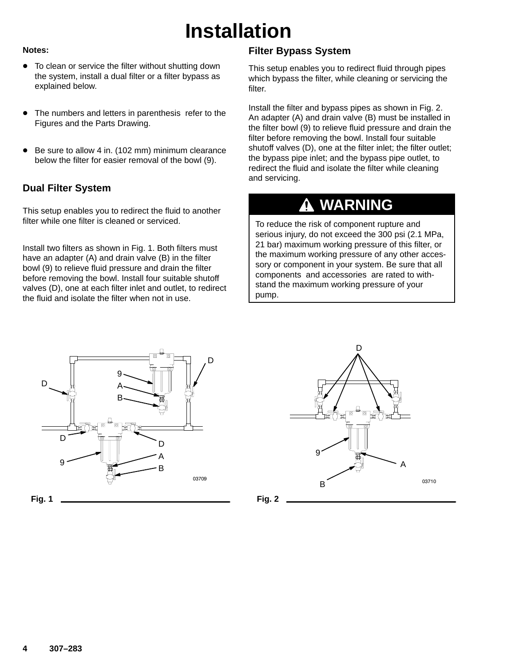## **Installation**

#### **Notes:**

- To clean or service the filter without shutting down the system, install a dual filter or a filter bypass as explained below.
- $\bullet$  The numbers and letters in parenthesis refer to the Figures and the Parts Drawing.
- $\bullet$  Be sure to allow 4 in. (102 mm) minimum clearance below the filter for easier removal of the bowl (9).

### **Dual Filter System**

This setup enables you to redirect the fluid to another filter while one filter is cleaned or serviced.

Install two filters as shown in Fig. 1. Both filters must have an adapter (A) and drain valve (B) in the filter bowl (9) to relieve fluid pressure and drain the filter before removing the bowl. Install four suitable shutoff valves (D), one at each filter inlet and outlet, to redirect the fluid and isolate the filter when not in use.

### **Filter Bypass System**

This setup enables you to redirect fluid through pipes which bypass the filter, while cleaning or servicing the filter.

Install the filter and bypass pipes as shown in Fig. 2. An adapter (A) and drain valve (B) must be installed in the filter bowl (9) to relieve fluid pressure and drain the filter before removing the bowl. Install four suitable shutoff valves (D), one at the filter inlet; the filter outlet; the bypass pipe inlet; and the bypass pipe outlet, to redirect the fluid and isolate the filter while cleaning and servicing.

### **WARNING**

To reduce the risk of component rupture and serious injury, do not exceed the 300 psi (2.1 MPa, 21 bar) maximum working pressure of this filter, or the maximum working pressure of any other accessory or component in your system. Be sure that all components and accessories are rated to withstand the maximum working pressure of your pump.



**Fig. 1**



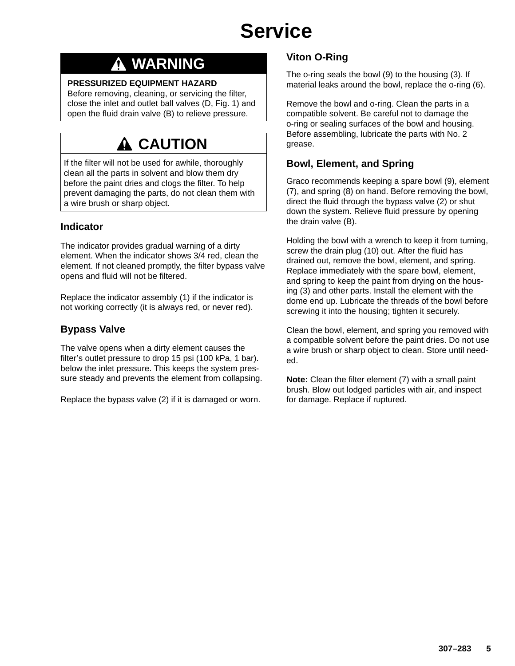# **Service**

### **WARNING**

#### **PRESSURIZED EQUIPMENT HAZARD**

Before removing, cleaning, or servicing the filter, close the inlet and outlet ball valves (D, Fig. 1) and open the fluid drain valve (B) to relieve pressure.

## **CAUTION**

If the filter will not be used for awhile, thoroughly clean all the parts in solvent and blow them dry before the paint dries and clogs the filter. To help prevent damaging the parts, do not clean them with a wire brush or sharp object.

### **Indicator**

The indicator provides gradual warning of a dirty element. When the indicator shows 3/4 red, clean the element. If not cleaned promptly, the filter bypass valve opens and fluid will not be filtered.

Replace the indicator assembly (1) if the indicator is not working correctly (it is always red, or never red).

### **Bypass Valve**

The valve opens when a dirty element causes the filter's outlet pressure to drop 15 psi (100 kPa, 1 bar). below the inlet pressure. This keeps the system pressure steady and prevents the element from collapsing.

Replace the bypass valve (2) if it is damaged or worn.

### **Viton O-Ring**

The o-ring seals the bowl (9) to the housing (3). If material leaks around the bowl, replace the o-ring (6).

Remove the bowl and o-ring. Clean the parts in a compatible solvent. Be careful not to damage the o-ring or sealing surfaces of the bowl and housing. Before assembling, lubricate the parts with No. 2 grease.

### **Bowl, Element, and Spring**

Graco recommends keeping a spare bowl (9), element (7), and spring (8) on hand. Before removing the bowl, direct the fluid through the bypass valve (2) or shut down the system. Relieve fluid pressure by opening the drain valve (B).

Holding the bowl with a wrench to keep it from turning, screw the drain plug (10) out. After the fluid has drained out, remove the bowl, element, and spring. Replace immediately with the spare bowl, element, and spring to keep the paint from drying on the housing (3) and other parts. Install the element with the dome end up. Lubricate the threads of the bowl before screwing it into the housing; tighten it securely.

Clean the bowl, element, and spring you removed with a compatible solvent before the paint dries. Do not use a wire brush or sharp object to clean. Store until needed.

**Note:** Clean the filter element (7) with a small paint brush. Blow out lodged particles with air, and inspect for damage. Replace if ruptured.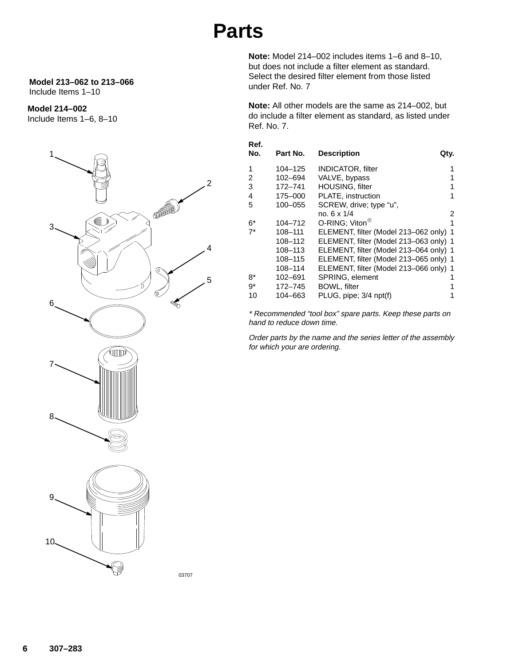## **Parts**

#### **Model 213–062 to 213–066** Include Items 1–10

### **Model 214–002**

Include Items 1–6, 8–10



**Note:** Model 214–002 includes items 1–6 and 8–10, but does not include a filter element as standard. Select the desired filter element from those listed under Ref. No. 7

**Note:** All other models are the same as 214–002, but do include a filter element as standard, as listed under Ref. No. 7.

| Ref.<br>No. | Part No. | <b>Description</b><br>Qty.             |   |
|-------------|----------|----------------------------------------|---|
| 1           | 104-125  | <b>INDICATOR, filter</b>               |   |
| 2           | 102-694  | VALVE, bypass                          |   |
| 3           | 172-741  | <b>HOUSING, filter</b>                 | 1 |
| 4           | 175-000  | PLATE, instruction                     | 1 |
| 5           | 100-055  | SCREW, drive; type "u",                |   |
|             |          | no. 6 x 1/4                            | 2 |
| 6*          | 104-712  | O-RING; Viton <sup>®</sup>             | 1 |
| $7^*$       | 108-111  | ELEMENT, filter (Model 213-062 only) 1 |   |
|             | 108-112  | ELEMENT, filter (Model 213-063 only) 1 |   |
|             | 108-113  | ELEMENT, filter (Model 213-064 only) 1 |   |
|             | 108-115  | ELEMENT, filter (Model 213-065 only) 1 |   |
|             | 108–114  | ELEMENT, filter (Model 213-066 only) 1 |   |
| 8*          | 102-691  | SPRING, element                        |   |
| 9*          | 172-745  | <b>BOWL, filter</b>                    |   |
| 10          | 104–663  | PLUG, pipe; 3/4 npt(f)                 |   |

\* Recommended "tool box" spare parts. Keep these parts on hand to reduce down time.

Order parts by the name and the series letter of the assembly for which your are ordering.

03707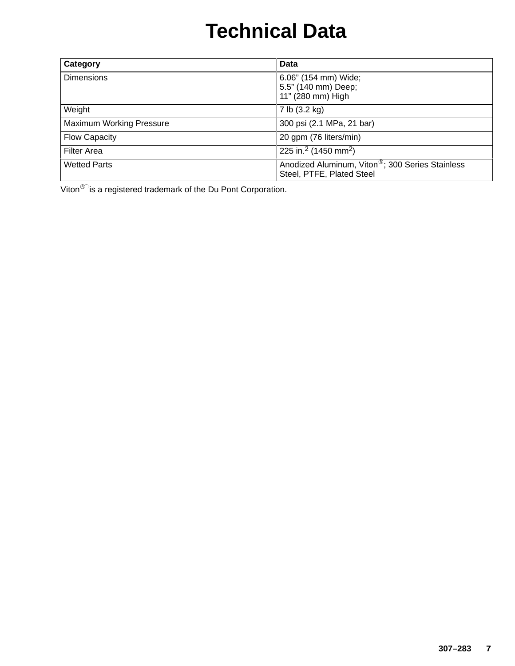# **Technical Data**

| Category                        | <b>Data</b>                                                                               |
|---------------------------------|-------------------------------------------------------------------------------------------|
| <b>Dimensions</b>               | 6.06" (154 mm) Wide;<br>5.5" (140 mm) Deep;<br>11" (280 mm) High                          |
| Weight                          | 7 lb (3.2 kg)                                                                             |
| <b>Maximum Working Pressure</b> | 300 psi (2.1 MPa, 21 bar)                                                                 |
| <b>Flow Capacity</b>            | 20 gpm (76 liters/min)                                                                    |
| <b>Filter Area</b>              | 225 in. <sup>2</sup> (1450 mm <sup>2</sup> )                                              |
| <b>Wetted Parts</b>             | Anodized Aluminum, Viton <sup>®</sup> ; 300 Series Stainless<br>Steel, PTFE, Plated Steel |

Viton<sup>®</sup> is a registered trademark of the Du Pont Corporation.